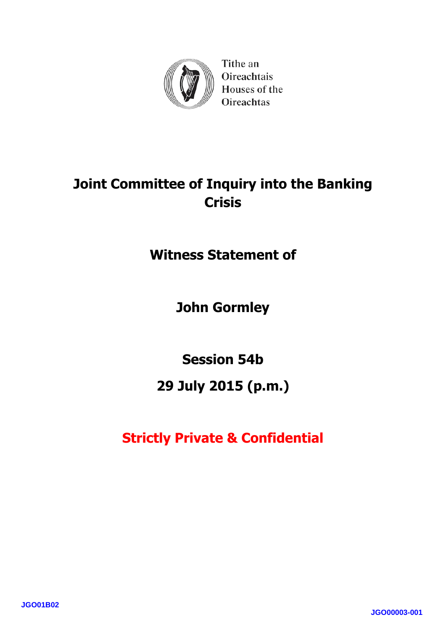

Tithe an Oireachtais Houses of the **Oireachtas** 

# **Joint Committee of Inquiry into the Banking Crisis**

**Witness Statement of**

**John Gormley**

**Session 54b**

# **29 July 2015 (p.m.)**

**Strictly Private & Confidential**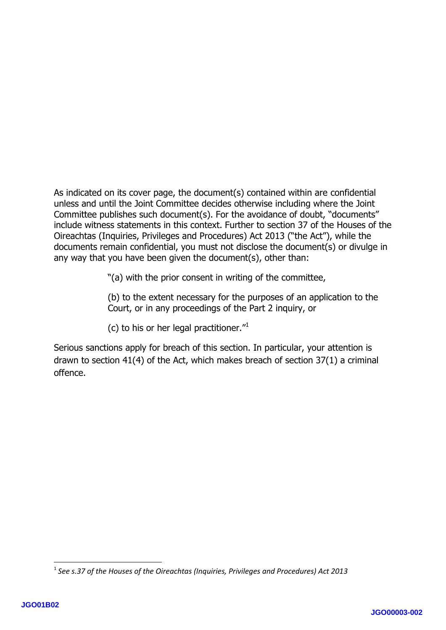As indicated on its cover page, the document(s) contained within are confidential unless and until the Joint Committee decides otherwise including where the Joint Committee publishes such document(s). For the avoidance of doubt, "documents" include witness statements in this context. Further to section 37 of the Houses of the Oireachtas (Inquiries, Privileges and Procedures) Act 2013 ("the Act"), while the documents remain confidential, you must not disclose the document(s) or divulge in any way that you have been given the document(s), other than:

"(a) with the prior consent in writing of the committee,

(b) to the extent necessary for the purposes of an application to the Court, or in any proceedings of the Part 2 inquiry, or

(c) to his or her legal practitioner. $11$ 

Serious sanctions apply for breach of this section. In particular, your attention is drawn to section 41(4) of the Act, which makes breach of section 37(1) a criminal offence.

**.** 

<sup>1</sup> *See s.37 of the Houses of the Oireachtas (Inquiries, Privileges and Procedures) Act 2013*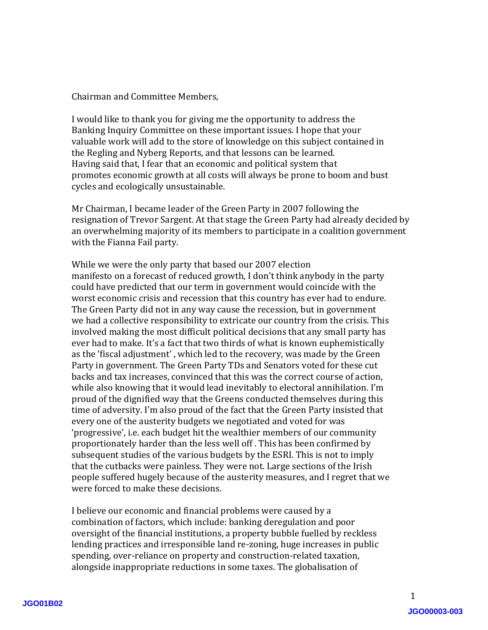Chairman and Committee Members,

I would like to thank you for giving me the opportunity to address the Banking Inquiry Committee on these important issues. I hope that your valuable work will add to the store of knowledge on this subject contained in the Regling and Nyberg Reports, and that lessons can be learned. Having said that, I fear that an economic and political system that promotes economic growth at all costs will always be prone to boom and bust cycles and ecologically unsustainable.

Mr Chairman, I became leader of the Green Party in 2007 following the resignation of Trevor Sargent. At that stage the Green Party had already decided by an overwhelming majority of its members to participate in a coalition government with the Fianna Fail party.

While we were the only party that based our 2007 election manifesto on a forecast of reduced growth, I don't think anybody in the party could have predicted that our term in government would coincide with the worst economic crisis and recession that this country has ever had to endure. The Green Party did not in any way cause the recession, but in government we had a collective responsibility to extricate our country from the crisis. This involved making the most difficult political decisions that any small party has ever had to make. It's a fact that two thirds of what is known euphemistically as the 'fiscal adjustment' , which led to the recovery, was made by the Green Party in government. The Green Party TDs and Senators voted for these cut backs and tax increases, convinced that this was the correct course of action, while also knowing that it would lead inevitably to electoral annihilation. I'm proud of the dignified way that the Greens conducted themselves during this time of adversity. I'm also proud of the fact that the Green Party insisted that every one of the austerity budgets we negotiated and voted for was 'progressive', i.e. each budget hit the wealthier members of our community proportionately harder than the less well off . This has been confirmed by subsequent studies of the various budgets by the ESRI. This is not to imply that the cutbacks were painless. They were not. Large sections of the Irish people suffered hugely because of the austerity measures, and I regret that we were forced to make these decisions.

I believe our economic and financial problems were caused by a combination of factors, which include: banking deregulation and poor oversight of the financial institutions, a property bubble fuelled by reckless lending practices and irresponsible land re-zoning, huge increases in public spending, over-reliance on property and construction-related taxation, alongside inappropriate reductions in some taxes. The globalisation of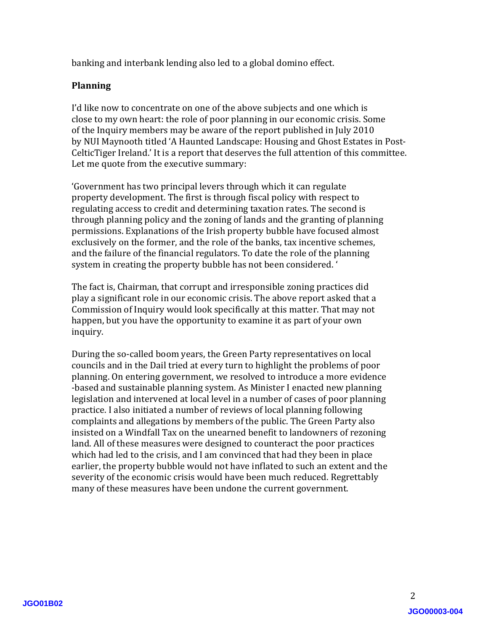banking and interbank lending also led to a global domino effect.

### **Planning**

I'd like now to concentrate on one of the above subjects and one which is close to my own heart: the role of poor planning in our economic crisis. Some of the Inquiry members may be aware of the report published in July 2010 by NUI Maynooth titled 'A Haunted Landscape: Housing and Ghost Estates in Post-CelticTiger Ireland.' It is a report that deserves the full attention of this committee. Let me quote from the executive summary:

'Government has two principal levers through which it can regulate property development. The first is through fiscal policy with respect to regulating access to credit and determining taxation rates. The second is through planning policy and the zoning of lands and the granting of planning permissions. Explanations of the Irish property bubble have focused almost exclusively on the former, and the role of the banks, tax incentive schemes, and the failure of the financial regulators. To date the role of the planning system in creating the property bubble has not been considered. '

The fact is, Chairman, that corrupt and irresponsible zoning practices did play a significant role in our economic crisis. The above report asked that a Commission of Inquiry would look specifically at this matter. That may not happen, but you have the opportunity to examine it as part of your own inquiry.

During the so-called boom years, the Green Party representatives on local councils and in the Dail tried at every turn to highlight the problems of poor planning. On entering government, we resolved to introduce a more evidence -based and sustainable planning system. As Minister I enacted new planning legislation and intervened at local level in a number of cases of poor planning practice. I also initiated a number of reviews of local planning following complaints and allegations by members of the public. The Green Party also insisted on a Windfall Tax on the unearned benefit to landowners of rezoning land. All of these measures were designed to counteract the poor practices which had led to the crisis, and I am convinced that had they been in place earlier, the property bubble would not have inflated to such an extent and the severity of the economic crisis would have been much reduced. Regrettably many of these measures have been undone the current government.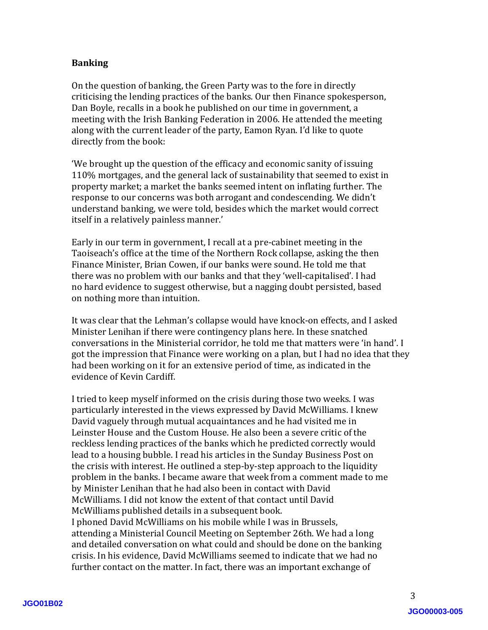### **Banking**

On the question of banking, the Green Party was to the fore in directly criticising the lending practices of the banks. Our then Finance spokesperson, Dan Boyle, recalls in a book he published on our time in government, a meeting with the Irish Banking Federation in 2006. He attended the meeting along with the current leader of the party, Eamon Ryan. I'd like to quote directly from the book:

'We brought up the question of the efficacy and economic sanity of issuing 110% mortgages, and the general lack of sustainability that seemed to exist in property market; a market the banks seemed intent on inflating further. The response to our concerns was both arrogant and condescending. We didn't understand banking, we were told, besides which the market would correct itself in a relatively painless manner.'

Early in our term in government, I recall at a pre-cabinet meeting in the Taoiseach's office at the time of the Northern Rock collapse, asking the then Finance Minister, Brian Cowen, if our banks were sound. He told me that there was no problem with our banks and that they 'well-capitalised'. I had no hard evidence to suggest otherwise, but a nagging doubt persisted, based on nothing more than intuition.

It was clear that the Lehman's collapse would have knock-on effects, and I asked Minister Lenihan if there were contingency plans here. In these snatched conversations in the Ministerial corridor, he told me that matters were 'in hand'. I got the impression that Finance were working on a plan, but I had no idea that they had been working on it for an extensive period of time, as indicated in the evidence of Kevin Cardiff.

I tried to keep myself informed on the crisis during those two weeks. I was particularly interested in the views expressed by David McWilliams. I knew David vaguely through mutual acquaintances and he had visited me in Leinster House and the Custom House. He also been a severe critic of the reckless lending practices of the banks which he predicted correctly would lead to a housing bubble. I read his articles in the Sunday Business Post on the crisis with interest. He outlined a step-by-step approach to the liquidity problem in the banks. I became aware that week from a comment made to me by Minister Lenihan that he had also been in contact with David McWilliams. I did not know the extent of that contact until David McWilliams published details in a subsequent book. I phoned David McWilliams on his mobile while I was in Brussels, attending a Ministerial Council Meeting on September 26th. We had a long and detailed conversation on what could and should be done on the banking crisis. In his evidence, David McWilliams seemed to indicate that we had no further contact on the matter. In fact, there was an important exchange of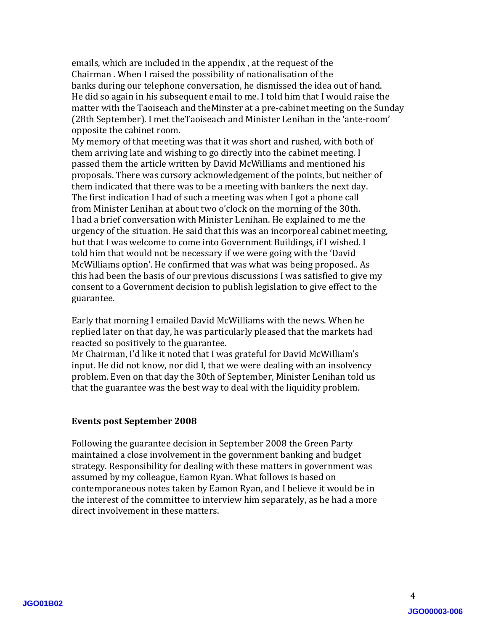emails, which are included in the appendix , at the request of the Chairman . When I raised the possibility of nationalisation of the banks during our telephone conversation, he dismissed the idea out of hand. He did so again in his subsequent email to me. I told him that I would raise the matter with the Taoiseach and theMinster at a pre-cabinet meeting on the Sunday (28th September). I met theTaoiseach and Minister Lenihan in the 'ante-room' opposite the cabinet room.

My memory of that meeting was that it was short and rushed, with both of them arriving late and wishing to go directly into the cabinet meeting. I passed them the article written by David McWilliams and mentioned his proposals. There was cursory acknowledgement of the points, but neither of them indicated that there was to be a meeting with bankers the next day. The first indication I had of such a meeting was when I got a phone call from Minister Lenihan at about two o'clock on the morning of the 30th. I had a brief conversation with Minister Lenihan. He explained to me the urgency of the situation. He said that this was an incorporeal cabinet meeting, but that I was welcome to come into Government Buildings, if I wished. I told him that would not be necessary if we were going with the 'David McWilliams option'. He confirmed that was what was being proposed.. As this had been the basis of our previous discussions I was satisfied to give my consent to a Government decision to publish legislation to give effect to the guarantee.

Early that morning I emailed David McWilliams with the news. When he replied later on that day, he was particularly pleased that the markets had reacted so positively to the guarantee.

Mr Chairman, I'd like it noted that I was grateful for David McWilliam's input. He did not know, nor did I, that we were dealing with an insolvency problem. Even on that day the 30th of September, Minister Lenihan told us that the guarantee was the best way to deal with the liquidity problem.

## **Events post September 2008**

Following the guarantee decision in September 2008 the Green Party maintained a close involvement in the government banking and budget strategy. Responsibility for dealing with these matters in government was assumed by my colleague, Eamon Ryan. What follows is based on contemporaneous notes taken by Eamon Ryan, and I believe it would be in the interest of the committee to interview him separately, as he had a more direct involvement in these matters.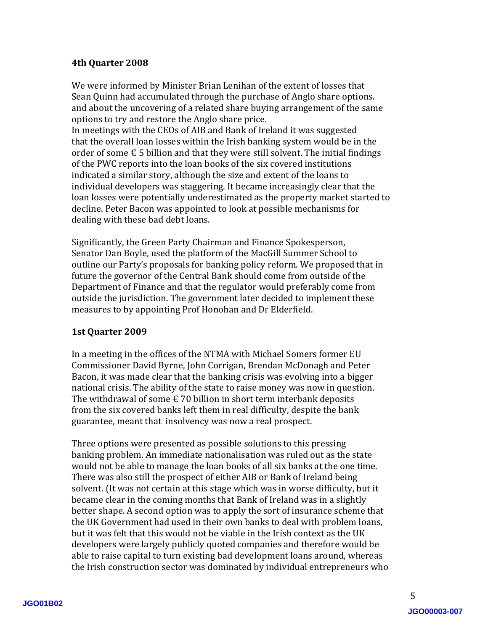### **4th Quarter 2008**

We were informed by Minister Brian Lenihan of the extent of losses that Sean Quinn had accumulated through the purchase of Anglo share options. and about the uncovering of a related share buying arrangement of the same options to try and restore the Anglo share price.

In meetings with the CEOs of AIB and Bank of Ireland it was suggested that the overall loan losses within the Irish banking system would be in the order of some  $\epsilon$  5 billion and that they were still solvent. The initial findings of the PWC reports into the loan books of the six covered institutions indicated a similar story, although the size and extent of the loans to individual developers was staggering. It became increasingly clear that the loan losses were potentially underestimated as the property market started to decline. Peter Bacon was appointed to look at possible mechanisms for dealing with these bad debt loans.

Significantly, the Green Party Chairman and Finance Spokesperson, Senator Dan Boyle, used the platform of the MacGill Summer School to outline our Party's proposals for banking policy reform. We proposed that in future the governor of the Central Bank should come from outside of the Department of Finance and that the regulator would preferably come from outside the jurisdiction. The government later decided to implement these measures to by appointing Prof Honohan and Dr Elderfield.

#### **1st Quarter 2009**

In a meeting in the offices of the NTMA with Michael Somers former EU Commissioner David Byrne, John Corrigan, Brendan McDonagh and Peter Bacon, it was made clear that the banking crisis was evolving into a bigger national crisis. The ability of the state to raise money was now in question. The withdrawal of some  $\epsilon$  70 billion in short term interbank deposits from the six covered banks left them in real difficulty, despite the bank guarantee, meant that insolvency was now a real prospect.

Three options were presented as possible solutions to this pressing banking problem. An immediate nationalisation was ruled out as the state would not be able to manage the loan books of all six banks at the one time. There was also still the prospect of either AIB or Bank of Ireland being solvent. (It was not certain at this stage which was in worse difficulty, but it became clear in the coming months that Bank of Ireland was in a slightly better shape. A second option was to apply the sort of insurance scheme that the UK Government had used in their own banks to deal with problem loans, but it was felt that this would not be viable in the Irish context as the UK developers were largely publicly quoted companies and therefore would be able to raise capital to turn existing bad development loans around, whereas the Irish construction sector was dominated by individual entrepreneurs who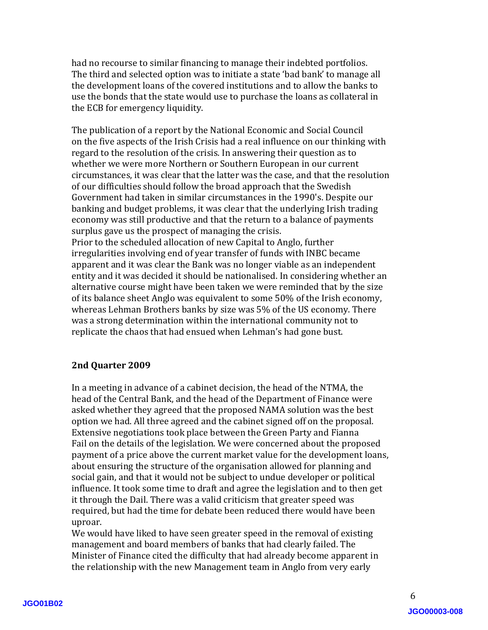had no recourse to similar financing to manage their indebted portfolios. The third and selected option was to initiate a state 'bad bank' to manage all the development loans of the covered institutions and to allow the banks to use the bonds that the state would use to purchase the loans as collateral in the ECB for emergency liquidity.

The publication of a report by the National Economic and Social Council on the five aspects of the Irish Crisis had a real influence on our thinking with regard to the resolution of the crisis. In answering their question as to whether we were more Northern or Southern European in our current circumstances, it was clear that the latter was the case, and that the resolution of our difficulties should follow the broad approach that the Swedish Government had taken in similar circumstances in the 1990's. Despite our banking and budget problems, it was clear that the underlying Irish trading economy was still productive and that the return to a balance of payments surplus gave us the prospect of managing the crisis.

Prior to the scheduled allocation of new Capital to Anglo, further irregularities involving end of year transfer of funds with INBC became apparent and it was clear the Bank was no longer viable as an independent entity and it was decided it should be nationalised. In considering whether an alternative course might have been taken we were reminded that by the size of its balance sheet Anglo was equivalent to some 50% of the Irish economy, whereas Lehman Brothers banks by size was 5% of the US economy. There was a strong determination within the international community not to replicate the chaos that had ensued when Lehman's had gone bust.

## **2nd Quarter 2009**

In a meeting in advance of a cabinet decision, the head of the NTMA, the head of the Central Bank, and the head of the Department of Finance were asked whether they agreed that the proposed NAMA solution was the best option we had. All three agreed and the cabinet signed off on the proposal. Extensive negotiations took place between the Green Party and Fianna Fail on the details of the legislation. We were concerned about the proposed payment of a price above the current market value for the development loans, about ensuring the structure of the organisation allowed for planning and social gain, and that it would not be subject to undue developer or political influence. It took some time to draft and agree the legislation and to then get it through the Dail. There was a valid criticism that greater speed was required, but had the time for debate been reduced there would have been uproar.

We would have liked to have seen greater speed in the removal of existing management and board members of banks that had clearly failed. The Minister of Finance cited the difficulty that had already become apparent in the relationship with the new Management team in Anglo from very early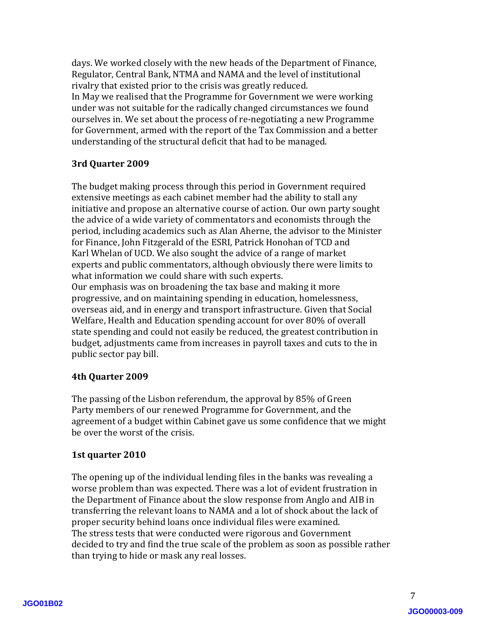days. We worked closely with the new heads of the Department of Finance, Regulator, Central Bank, NTMA and NAMA and the level of institutional rivalry that existed prior to the crisis was greatly reduced. In May we realised that the Programme for Government we were working under was not suitable for the radically changed circumstances we found ourselves in. We set about the process of re-negotiating a new Programme for Government, armed with the report of the Tax Commission and a better understanding of the structural deficit that had to be managed.

# **3rd Quarter 2009**

The budget making process through this period in Government required extensive meetings as each cabinet member had the ability to stall any initiative and propose an alternative course of action. Our own party sought the advice of a wide variety of commentators and economists through the period, including academics such as Alan Aherne, the advisor to the Minister for Finance, John Fitzgerald of the ESRI, Patrick Honohan of TCD and Karl Whelan of UCD. We also sought the advice of a range of market experts and public commentators, although obviously there were limits to what information we could share with such experts. Our emphasis was on broadening the tax base and making it more progressive, and on maintaining spending in education, homelessness, overseas aid, and in energy and transport infrastructure. Given that Social Welfare, Health and Education spending account for over 80% of overall state spending and could not easily be reduced, the greatest contribution in

# budget, adjustments came from increases in payroll taxes and cuts to the in public sector pay bill.

## **4th Quarter 2009**

The passing of the Lisbon referendum, the approval by 85% of Green Party members of our renewed Programme for Government, and the agreement of a budget within Cabinet gave us some confidence that we might be over the worst of the crisis.

# **1st quarter 2010**

The opening up of the individual lending files in the banks was revealing a worse problem than was expected. There was a lot of evident frustration in the Department of Finance about the slow response from Anglo and AIB in transferring the relevant loans to NAMA and a lot of shock about the lack of proper security behind loans once individual files were examined. The stress tests that were conducted were rigorous and Government decided to try and find the true scale of the problem as soon as possible rather than trying to hide or mask any real losses.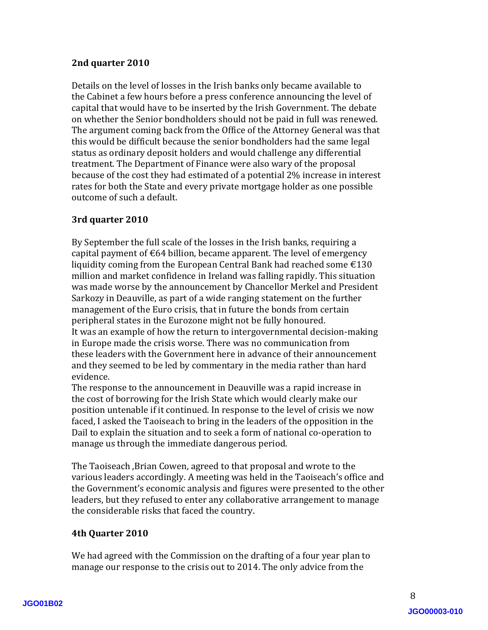## **2nd quarter 2010**

Details on the level of losses in the Irish banks only became available to the Cabinet a few hours before a press conference announcing the level of capital that would have to be inserted by the Irish Government. The debate on whether the Senior bondholders should not be paid in full was renewed. The argument coming back from the Office of the Attorney General was that this would be difficult because the senior bondholders had the same legal status as ordinary deposit holders and would challenge any differential treatment. The Department of Finance were also wary of the proposal because of the cost they had estimated of a potential 2% increase in interest rates for both the State and every private mortgage holder as one possible outcome of such a default.

# **3rd quarter 2010**

By September the full scale of the losses in the Irish banks, requiring a capital payment of  $\epsilon$ 64 billion, became apparent. The level of emergency liquidity coming from the European Central Bank had reached some  $\text{\textsterling}130$ million and market confidence in Ireland was falling rapidly. This situation was made worse by the announcement by Chancellor Merkel and President Sarkozy in Deauville, as part of a wide ranging statement on the further management of the Euro crisis, that in future the bonds from certain peripheral states in the Eurozone might not be fully honoured. It was an example of how the return to intergovernmental decision-making in Europe made the crisis worse. There was no communication from these leaders with the Government here in advance of their announcement and they seemed to be led by commentary in the media rather than hard evidence.

The response to the announcement in Deauville was a rapid increase in the cost of borrowing for the Irish State which would clearly make our position untenable if it continued. In response to the level of crisis we now faced, I asked the Taoiseach to bring in the leaders of the opposition in the Dail to explain the situation and to seek a form of national co-operation to manage us through the immediate dangerous period.

The Taoiseach ,Brian Cowen, agreed to that proposal and wrote to the various leaders accordingly. A meeting was held in the Taoiseach's office and the Government's economic analysis and figures were presented to the other leaders, but they refused to enter any collaborative arrangement to manage the considerable risks that faced the country.

## **4th Quarter 2010**

We had agreed with the Commission on the drafting of a four year plan to manage our response to the crisis out to 2014. The only advice from the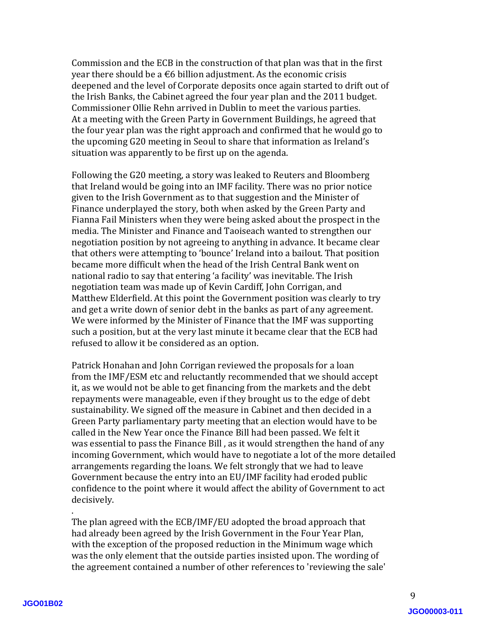Commission and the ECB in the construction of that plan was that in the first year there should be a  $\epsilon$ 6 billion adjustment. As the economic crisis deepened and the level of Corporate deposits once again started to drift out of the Irish Banks, the Cabinet agreed the four year plan and the 2011 budget. Commissioner Ollie Rehn arrived in Dublin to meet the various parties. At a meeting with the Green Party in Government Buildings, he agreed that the four year plan was the right approach and confirmed that he would go to the upcoming G20 meeting in Seoul to share that information as Ireland's situation was apparently to be first up on the agenda.

Following the G20 meeting, a story was leaked to Reuters and Bloomberg that Ireland would be going into an IMF facility. There was no prior notice given to the Irish Government as to that suggestion and the Minister of Finance underplayed the story, both when asked by the Green Party and Fianna Fail Ministers when they were being asked about the prospect in the media. The Minister and Finance and Taoiseach wanted to strengthen our negotiation position by not agreeing to anything in advance. It became clear that others were attempting to 'bounce' Ireland into a bailout. That position became more difficult when the head of the Irish Central Bank went on national radio to say that entering 'a facility' was inevitable. The Irish negotiation team was made up of Kevin Cardiff, John Corrigan, and Matthew Elderfield. At this point the Government position was clearly to try and get a write down of senior debt in the banks as part of any agreement. We were informed by the Minister of Finance that the IMF was supporting such a position, but at the very last minute it became clear that the ECB had refused to allow it be considered as an option.

Patrick Honahan and John Corrigan reviewed the proposals for a loan from the IMF/ESM etc and reluctantly recommended that we should accept it, as we would not be able to get financing from the markets and the debt repayments were manageable, even if they brought us to the edge of debt sustainability. We signed off the measure in Cabinet and then decided in a Green Party parliamentary party meeting that an election would have to be called in the New Year once the Finance Bill had been passed. We felt it was essential to pass the Finance Bill , as it would strengthen the hand of any incoming Government, which would have to negotiate a lot of the more detailed arrangements regarding the loans. We felt strongly that we had to leave Government because the entry into an EU/IMF facility had eroded public confidence to the point where it would affect the ability of Government to act decisively.

. The plan agreed with the ECB/IMF/EU adopted the broad approach that had already been agreed by the Irish Government in the Four Year Plan, with the exception of the proposed reduction in the Minimum wage which was the only element that the outside parties insisted upon. The wording of the agreement contained a number of other references to 'reviewing the sale'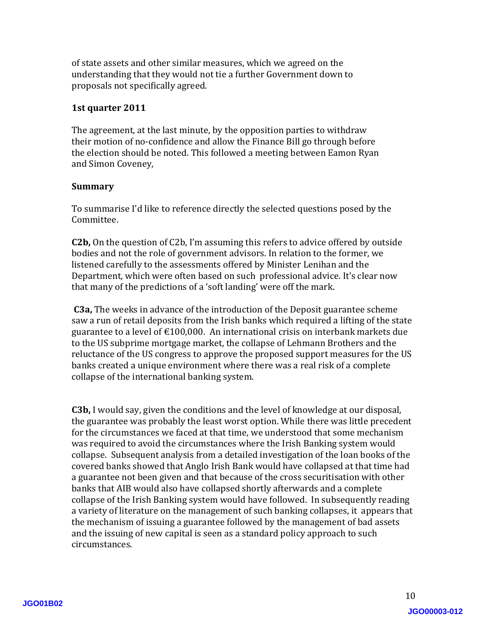of state assets and other similar measures, which we agreed on the understanding that they would not tie a further Government down to proposals not specifically agreed.

### **1st quarter 2011**

The agreement, at the last minute, by the opposition parties to withdraw their motion of no-confidence and allow the Finance Bill go through before the election should be noted. This followed a meeting between Eamon Ryan and Simon Coveney,

### **Summary**

To summarise I'd like to reference directly the selected questions posed by the Committee.

**C2b,** On the question of C2b, I'm assuming this refers to advice offered by outside bodies and not the role of government advisors. In relation to the former, we listened carefully to the assessments offered by Minister Lenihan and the Department, which were often based on such professional advice. It's clear now that many of the predictions of a 'soft landing' were off the mark.

**C3a,** The weeks in advance of the introduction of the Deposit guarantee scheme saw a run of retail deposits from the Irish banks which required a lifting of the state guarantee to a level of  $\text{\textsterling}100,000$ . An international crisis on interbank markets due to the US subprime mortgage market, the collapse of Lehmann Brothers and the reluctance of the US congress to approve the proposed support measures for the US banks created a unique environment where there was a real risk of a complete collapse of the international banking system.

**C3b,** I would say, given the conditions and the level of knowledge at our disposal, the guarantee was probably the least worst option. While there was little precedent for the circumstances we faced at that time, we understood that some mechanism was required to avoid the circumstances where the Irish Banking system would collapse. Subsequent analysis from a detailed investigation of the loan books of the covered banks showed that Anglo Irish Bank would have collapsed at that time had a guarantee not been given and that because of the cross securitisation with other banks that AIB would also have collapsed shortly afterwards and a complete collapse of the Irish Banking system would have followed. In subsequently reading a variety of literature on the management of such banking collapses, it appears that the mechanism of issuing a guarantee followed by the management of bad assets and the issuing of new capital is seen as a standard policy approach to such circumstances.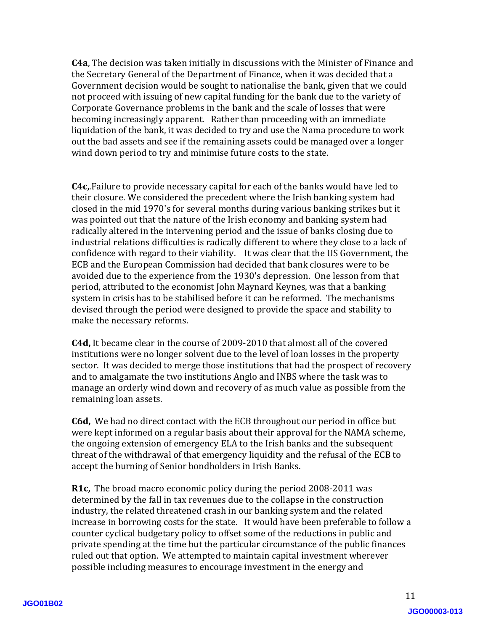**C4a**, The decision was taken initially in discussions with the Minister of Finance and the Secretary General of the Department of Finance, when it was decided that a Government decision would be sought to nationalise the bank, given that we could not proceed with issuing of new capital funding for the bank due to the variety of Corporate Governance problems in the bank and the scale of losses that were becoming increasingly apparent. Rather than proceeding with an immediate liquidation of the bank, it was decided to try and use the Nama procedure to work out the bad assets and see if the remaining assets could be managed over a longer wind down period to try and minimise future costs to the state.

**C4c,**.Failure to provide necessary capital for each of the banks would have led to their closure. We considered the precedent where the Irish banking system had closed in the mid 1970's for several months during various banking strikes but it was pointed out that the nature of the Irish economy and banking system had radically altered in the intervening period and the issue of banks closing due to industrial relations difficulties is radically different to where they close to a lack of confidence with regard to their viability. It was clear that the US Government, the ECB and the European Commission had decided that bank closures were to be avoided due to the experience from the 1930's depression. One lesson from that period, attributed to the economist John Maynard Keynes, was that a banking system in crisis has to be stabilised before it can be reformed. The mechanisms devised through the period were designed to provide the space and stability to make the necessary reforms.

**C4d,** It became clear in the course of 2009-2010 that almost all of the covered institutions were no longer solvent due to the level of loan losses in the property sector. It was decided to merge those institutions that had the prospect of recovery and to amalgamate the two institutions Anglo and INBS where the task was to manage an orderly wind down and recovery of as much value as possible from the remaining loan assets.

**C6d,** We had no direct contact with the ECB throughout our period in office but were kept informed on a regular basis about their approval for the NAMA scheme, the ongoing extension of emergency ELA to the Irish banks and the subsequent threat of the withdrawal of that emergency liquidity and the refusal of the ECB to accept the burning of Senior bondholders in Irish Banks.

**R1c,** The broad macro economic policy during the period 2008-2011 was determined by the fall in tax revenues due to the collapse in the construction industry, the related threatened crash in our banking system and the related increase in borrowing costs for the state. It would have been preferable to follow a counter cyclical budgetary policy to offset some of the reductions in public and private spending at the time but the particular circumstance of the public finances ruled out that option. We attempted to maintain capital investment wherever possible including measures to encourage investment in the energy and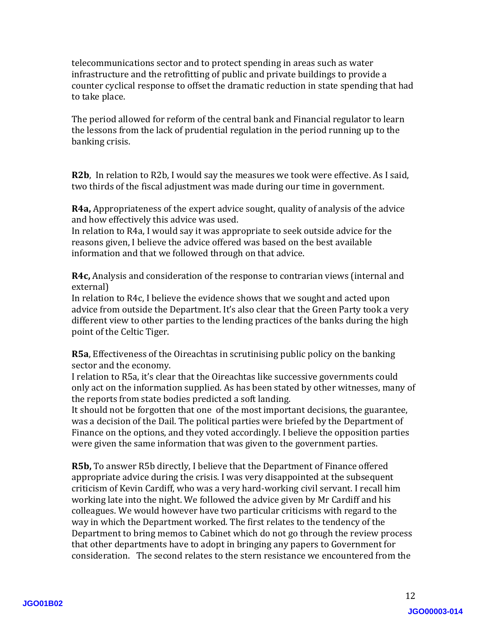telecommunications sector and to protect spending in areas such as water infrastructure and the retrofitting of public and private buildings to provide a counter cyclical response to offset the dramatic reduction in state spending that had to take place.

The period allowed for reform of the central bank and Financial regulator to learn the lessons from the lack of prudential regulation in the period running up to the banking crisis.

**R2b**, In relation to R2b, I would say the measures we took were effective. As I said, two thirds of the fiscal adjustment was made during our time in government.

**R4a,** Appropriateness of the expert advice sought, quality of analysis of the advice and how effectively this advice was used.

In relation to R4a, I would say it was appropriate to seek outside advice for the reasons given, I believe the advice offered was based on the best available information and that we followed through on that advice.

**R4c,** Analysis and consideration of the response to contrarian views (internal and external)

In relation to R4c, I believe the evidence shows that we sought and acted upon advice from outside the Department. It's also clear that the Green Party took a very different view to other parties to the lending practices of the banks during the high point of the Celtic Tiger.

**R5a**, Effectiveness of the Oireachtas in scrutinising public policy on the banking sector and the economy.

I relation to R5a, it's clear that the Oireachtas like successive governments could only act on the information supplied. As has been stated by other witnesses, many of the reports from state bodies predicted a soft landing.

It should not be forgotten that one of the most important decisions, the guarantee, was a decision of the Dail. The political parties were briefed by the Department of Finance on the options, and they voted accordingly. I believe the opposition parties were given the same information that was given to the government parties.

**R5b,** To answer R5b directly, I believe that the Department of Finance offered appropriate advice during the crisis. I was very disappointed at the subsequent criticism of Kevin Cardiff, who was a very hard-working civil servant. I recall him working late into the night. We followed the advice given by Mr Cardiff and his colleagues. We would however have two particular criticisms with regard to the way in which the Department worked. The first relates to the tendency of the Department to bring memos to Cabinet which do not go through the review process that other departments have to adopt in bringing any papers to Government for consideration. The second relates to the stern resistance we encountered from the